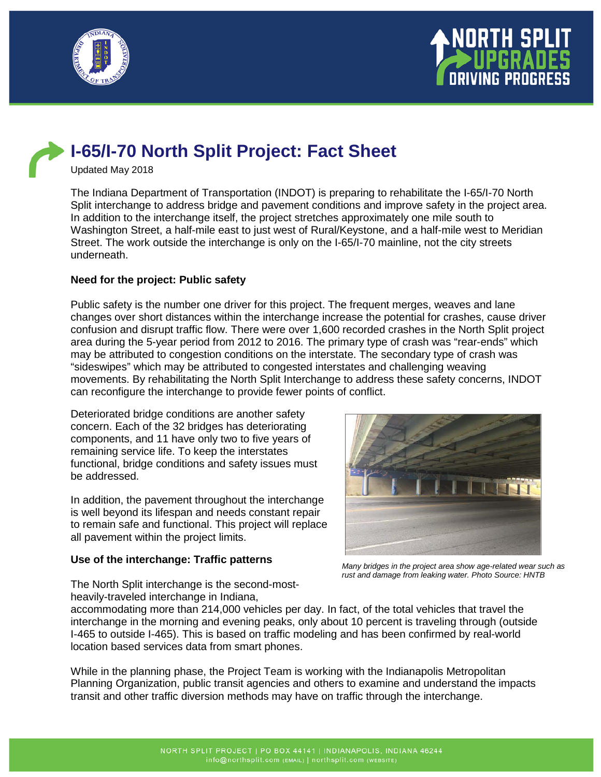



# **I-65/I-70 North Split Project: Fact Sheet**

Updated May 2018

The Indiana Department of Transportation (INDOT) is preparing to rehabilitate the I-65/I-70 North Split interchange to address bridge and pavement conditions and improve safety in the project area. In addition to the interchange itself, the project stretches approximately one mile south to Washington Street, a half-mile east to just west of Rural/Keystone, and a half-mile west to Meridian Street. The work outside the interchange is only on the I-65/I-70 mainline, not the city streets underneath.

## **Need for the project: Public safety**

Public safety is the number one driver for this project. The frequent merges, weaves and lane changes over short distances within the interchange increase the potential for crashes, cause driver confusion and disrupt traffic flow. There were over 1,600 recorded crashes in the North Split project area during the 5-year period from 2012 to 2016. The primary type of crash was "rear-ends" which may be attributed to congestion conditions on the interstate. The secondary type of crash was "sideswipes" which may be attributed to congested interstates and challenging weaving movements. By rehabilitating the North Split Interchange to address these safety concerns, INDOT can reconfigure the interchange to provide fewer points of conflict.

Deteriorated bridge conditions are another safety concern. Each of the 32 bridges has deteriorating components, and 11 have only two to five years of remaining service life. To keep the interstates functional, bridge conditions and safety issues must be addressed.

In addition, the pavement throughout the interchange is well beyond its lifespan and needs constant repair to remain safe and functional. This project will replace all pavement within the project limits.

#### **Use of the interchange: Traffic patterns**



*Many bridges in the project area show age-related wear such as rust and damage from leaking water. Photo Source: HNTB*

The North Split interchange is the second-mostheavily-traveled interchange in Indiana,

accommodating more than 214,000 vehicles per day. In fact, of the total vehicles that travel the interchange in the morning and evening peaks, only about 10 percent is traveling through (outside I-465 to outside I-465). This is based on traffic modeling and has been confirmed by real-world location based services data from smart phones.

While in the planning phase, the Project Team is working with the Indianapolis Metropolitan Planning Organization, public transit agencies and others to examine and understand the impacts transit and other traffic diversion methods may have on traffic through the interchange.